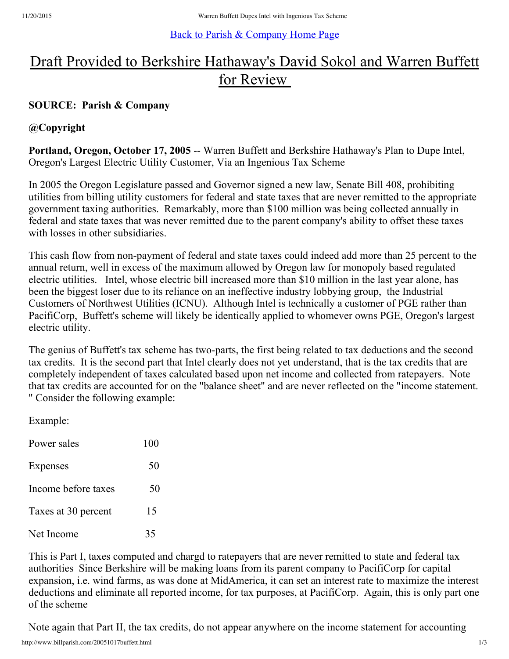#### Back to Parish & [Company](http://www.billparish.com/index.html) Home Page

# Draft Provided to Berkshire Hathaway's David Sokol and Warren Buffett for Review

## **SOURCE: Parish & Company**

### **@Copyright**

**Portland, Oregon, October 17, 2005** -- Warren Buffett and Berkshire Hathaway's Plan to Dupe Intel, Oregon's Largest Electric Utility Customer, Via an Ingenious Tax Scheme

In 2005 the Oregon Legislature passed and Governor signed a new law, Senate Bill 408, prohibiting utilities from billing utility customers for federal and state taxes that are never remitted to the appropriate government taxing authorities. Remarkably, more than \$100 million was being collected annually in federal and state taxes that was never remitted due to the parent company's ability to offset these taxes with losses in other subsidiaries.

This cash flow from non-payment of federal and state taxes could indeed add more than 25 percent to the annual return, well in excess of the maximum allowed by Oregon law for monopoly based regulated electric utilities. Intel, whose electric bill increased more than \$10 million in the last year alone, has been the biggest loser due to its reliance on an ineffective industry lobbying group, the Industrial Customers of Northwest Utilities (ICNU). Although Intel is technically a customer of PGE rather than PacifiCorp, Buffett's scheme will likely be identically applied to whomever owns PGE, Oregon's largest electric utility.

The genius of Buffett's tax scheme has two-parts, the first being related to tax deductions and the second tax credits. It is the second part that Intel clearly does not yet understand, that is the tax credits that are completely independent of taxes calculated based upon net income and collected from ratepayers. Note that tax credits are accounted for on the "balance sheet" and are never reflected on the "income statement. " Consider the following example:

Example:

| Power sales         | 100 |
|---------------------|-----|
| Expenses            | 50  |
| Income before taxes | 50  |
| Taxes at 30 percent | 15  |
| Net Income          | 35  |

This is Part I, taxes computed and chargd to ratepayers that are never remitted to state and federal tax authorities Since Berkshire will be making loans from its parent company to PacifiCorp for capital expansion, i.e. wind farms, as was done at MidAmerica, it can set an interest rate to maximize the interest deductions and eliminate all reported income, for tax purposes, at PacifiCorp. Again, this is only part one of the scheme

Note again that Part II, the tax credits, do not appear anywhere on the income statement for accounting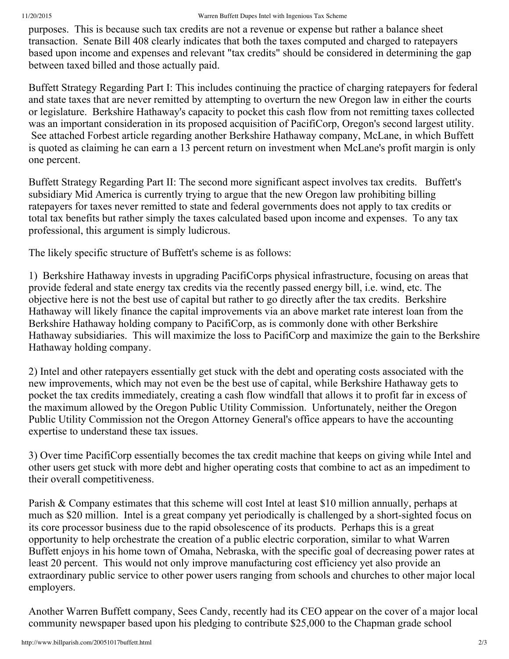purposes. This is because such tax credits are not a revenue or expense but rather a balance sheet transaction. Senate Bill 408 clearly indicates that both the taxes computed and charged to ratepayers based upon income and expenses and relevant "tax credits" should be considered in determining the gap between taxed billed and those actually paid.

Buffett Strategy Regarding Part I: This includes continuing the practice of charging ratepayers for federal and state taxes that are never remitted by attempting to overturn the new Oregon law in either the courts or legislature. Berkshire Hathaway's capacity to pocket this cash flow from not remitting taxes collected was an important consideration in its proposed acquisition of PacifiCorp, Oregon's second largest utility. See attached Forbest article regarding another Berkshire Hathaway company, McLane, in which Buffett is quoted as claiming he can earn a 13 percent return on investment when McLane's profit margin is only one percent.

Buffett Strategy Regarding Part II: The second more significant aspect involves tax credits. Buffett's subsidiary Mid America is currently trying to argue that the new Oregon law prohibiting billing ratepayers for taxes never remitted to state and federal governments does not apply to tax credits or total tax benefits but rather simply the taxes calculated based upon income and expenses. To any tax professional, this argument is simply ludicrous.

The likely specific structure of Buffett's scheme is as follows:

1) Berkshire Hathaway invests in upgrading PacifiCorps physical infrastructure, focusing on areas that provide federal and state energy tax credits via the recently passed energy bill, i.e. wind, etc. The objective here is not the best use of capital but rather to go directly after the tax credits. Berkshire Hathaway will likely finance the capital improvements via an above market rate interest loan from the Berkshire Hathaway holding company to PacifiCorp, as is commonly done with other Berkshire Hathaway subsidiaries. This will maximize the loss to PacifiCorp and maximize the gain to the Berkshire Hathaway holding company.

2) Intel and other ratepayers essentially get stuck with the debt and operating costs associated with the new improvements, which may not even be the best use of capital, while Berkshire Hathaway gets to pocket the tax credits immediately, creating a cash flow windfall that allows it to profit far in excess of the maximum allowed by the Oregon Public Utility Commission. Unfortunately, neither the Oregon Public Utility Commission not the Oregon Attorney General's office appears to have the accounting expertise to understand these tax issues.

3) Over time PacifiCorp essentially becomes the tax credit machine that keeps on giving while Intel and other users get stuck with more debt and higher operating costs that combine to act as an impediment to their overall competitiveness.

Parish & Company estimates that this scheme will cost Intel at least \$10 million annually, perhaps at much as \$20 million. Intel is a great company yet periodically is challenged by a short-sighted focus on its core processor business due to the rapid obsolescence of its products. Perhaps this is a great opportunity to help orchestrate the creation of a public electric corporation, similar to what Warren Buffett enjoys in his home town of Omaha, Nebraska, with the specific goal of decreasing power rates at least 20 percent. This would not only improve manufacturing cost efficiency yet also provide an extraordinary public service to other power users ranging from schools and churches to other major local employers.

Another Warren Buffett company, Sees Candy, recently had its CEO appear on the cover of a major local community newspaper based upon his pledging to contribute \$25,000 to the Chapman grade school